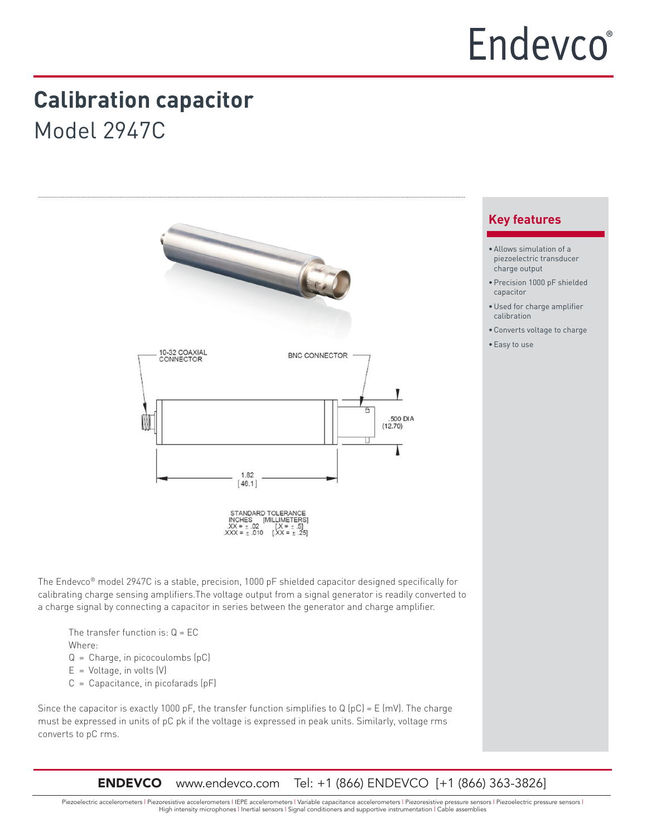# **Calibration capacitor**

Model 2947C



The Endevco® model 2947C is a stable, precision, 1000 pF shielded capacitor designed specifically for calibrating charge sensing amplifiers.The voltage output from a signal generator is readily converted to a charge signal by connecting a capacitor in series between the generator and charge amplifier.

The transfer function is:  $Q = EC$ Where:

- Q = Charge, in picocoulombs (pC)
- $E =$  Voltage, in volts  $(V)$
- $C =$  Capacitance, in picofarads  $(pF)$

Since the capacitor is exactly 1000 pF, the transfer function simplifies to Q (pC) = E (mV). The charge must be expressed in units of pC pk if the voltage is expressed in peak units. Similarly, voltage rms converts to pC rms.

ENDEVCO www.endevco.com Tel: +1 (866) ENDEVCO [+1 (866) 363-3826]

# **Key features**

- •Allows simulation of a piezoelectric transducer charge output
- •Precision 1000 pF shielded capacitor
- •Used for charge amplifier calibration
- •Converts voltage to charge
- •Easy to use

Piezoelectric accelerometers | Piezoresistive accelerometers | IEPE accelerometers | Variable capacitance accelerometers | Piezoresistive pressure sensors | Piezoelectric pressure sensors | High intensity microphones | Inertial sensors | Signal conditioners and supportive instrumentation | Cable assemblies